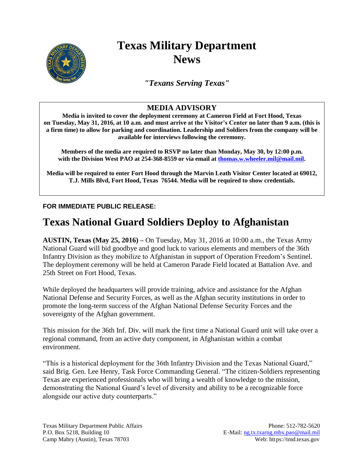

## **Texas Military Department News**

*"Texans Serving Texas"*

## **MEDIA ADVISORY**

**Media is invited to cover the deployment ceremony at Cameron Field at Fort Hood, Texas on Tuesday, May 31, 2016, at 10 a.m. and must arrive at the Visitor's Center no later than 9 a.m. (this is a firm time) to allow for parking and coordination. Leadership and Soldiers from the company will be available for interviews following the ceremony.**

**Members of the media are required to RSVP no later than Monday, May 30, by 12:00 p.m. with the Division West PAO at 254-368-8559 or via email at [thomas.w.wheeler.mil@mail.mil.](mailto:thomas.w.wheeler.mil@mail.mil)** 

**Media will be required to enter Fort Hood through the Marvin Leath Visitor Center located at 69012, T.J. Mills Blvd, Fort Hood, Texas 76544. Media will be required to show credentials.**

## **FOR IMMEDIATE PUBLIC RELEASE:**

## **Texas National Guard Soldiers Deploy to Afghanistan**

**AUSTIN, Texas (May 25, 2016) –** On Tuesday, May 31, 2016 at 10:00 a.m., the Texas Army National Guard will bid goodbye and good luck to various elements and members of the 36th Infantry Division as they mobilize to Afghanistan in support of Operation Freedom's Sentinel. The deployment ceremony will be held at Cameron Parade Field located at Battalion Ave. and 25th Street on Fort Hood, Texas.

While deployed the headquarters will provide training, advice and assistance for the Afghan National Defense and Security Forces, as well as the Afghan security institutions in order to promote the long-term success of the Afghan National Defense Security Forces and the sovereignty of the Afghan government.

This mission for the 36th Inf. Div. will mark the first time a National Guard unit will take over a regional command, from an active duty component, in Afghanistan within a combat environment.

"This is a historical deployment for the 36th Infantry Division and the Texas National Guard," said Brig. Gen. Lee Henry, Task Force Commanding General. "The citizen-Soldiers representing Texas are experienced professionals who will bring a wealth of knowledge to the mission, demonstrating the National Guard's level of diversity and ability to be a recognizable force alongside our active duty counterparts."